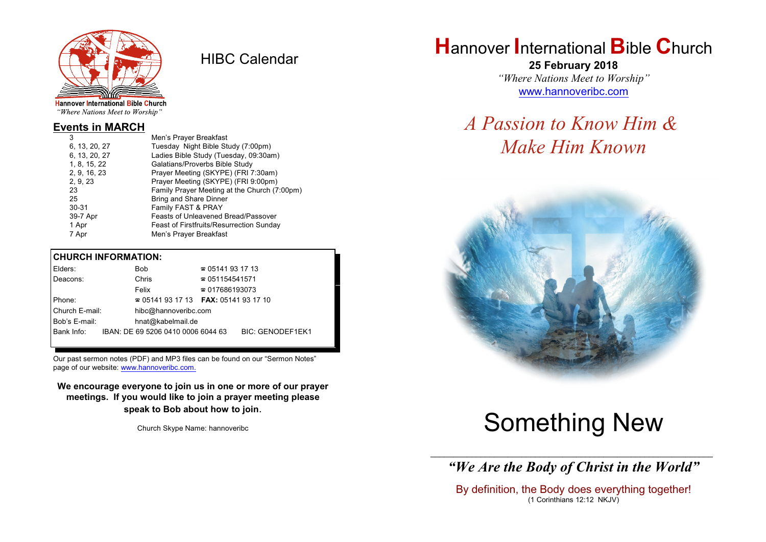

HIBC Calendar

"Where Nations Meet to Worship"

#### **Events in MARCH**

| 3             | Men's Prayer Breakfast                          |
|---------------|-------------------------------------------------|
| 6, 13, 20, 27 | Tuesday Night Bible Study (7:00pm)              |
| 6, 13, 20, 27 | Ladies Bible Study (Tuesday, 09:30am)           |
| 1, 8, 15, 22  | Galatians/Proverbs Bible Study                  |
| 2, 9, 16, 23  | Prayer Meeting (SKYPE) (FRI 7:30am)             |
| 2, 9, 23      | Prayer Meeting (SKYPE) (FRI 9:00pm)             |
| 23            | Family Prayer Meeting at the Church (7:00pm)    |
| 25            | <b>Bring and Share Dinner</b>                   |
| $30 - 31$     | Family FAST & PRAY                              |
| 39-7 Apr      | <b>Feasts of Unleavened Bread/Passover</b>      |
| 1 Apr         | <b>Feast of Firstfruits/Resurrection Sunday</b> |
| 7 Apr         | Men's Prayer Breakfast                          |
|               |                                                 |

#### **CHURCH INFORMATION:**

| Elders:        | Bob                                           | $\approx 05141931713$  |                  |
|----------------|-----------------------------------------------|------------------------|------------------|
| Deacons:       | Chris                                         | $\approx 051154541571$ |                  |
|                | Felix                                         | $\approx 017686193073$ |                  |
| Phone:         | $\approx 05141931713$ FAX: 0514193 17 10      |                        |                  |
| Church E-mail: | hibc@hannoveribc.com                          |                        |                  |
| Bob's E-mail:  | hnat@kabelmail.de                             |                        |                  |
|                | Bank Info: IBAN: DE 69 5206 0410 0006 6044 63 |                        | BIC: GENODEF1EK1 |
|                |                                               |                        |                  |

Our past sermon notes (PDF) and MP3 files can be found on our "Sermon Notes" page of our website: [www.hannoveribc.com.](http://www.hannoveribc.com.)

**We encourage everyone to join us in one or more of our prayer meetings. If you would like to join a prayer meeting please speak to Bob about how to join**.

Church Skype Name: hannoveribc

## **H**annover **I**nternational **B**ible **C**hurch

**25 February 2018** *"Where Nations Meet to Worship"* [www.hannoveribc.com](http://www.hannoveribc.com)

## *A Passion to Know Him & Make Him Known*



# Something New

\_\_\_\_\_\_\_\_\_\_\_\_\_\_\_\_\_\_\_\_\_\_\_\_\_\_\_\_\_\_\_\_\_\_\_\_\_\_\_\_\_\_\_\_\_\_\_\_\_\_\_\_\_\_\_\_\_\_\_\_\_\_ *"We Are the Body of Christ in the World"*

By definition, the Body does everything together! (1 Corinthians 12:12 NKJV)